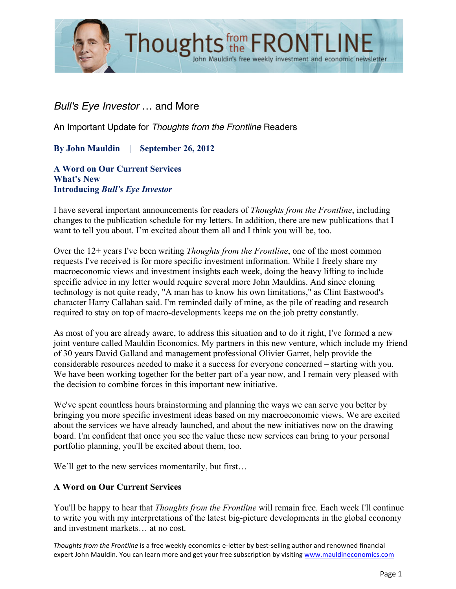

# *Bull's Eye Investor* … and More

An Important Update for *Thoughts from the Frontline* Readers

**By John Mauldin | September 26, 2012**

**A Word on Our Current Services What's New Introducing** *Bull's Eye Investor*

I have several important announcements for readers of *Thoughts from the Frontline*, including changes to the publication schedule for my letters. In addition, there are new publications that I want to tell you about. I'm excited about them all and I think you will be, too.

Over the 12+ years I've been writing *Thoughts from the Frontline*, one of the most common requests I've received is for more specific investment information. While I freely share my macroeconomic views and investment insights each week, doing the heavy lifting to include specific advice in my letter would require several more John Mauldins. And since cloning technology is not quite ready, "A man has to know his own limitations," as Clint Eastwood's character Harry Callahan said. I'm reminded daily of mine, as the pile of reading and research required to stay on top of macro-developments keeps me on the job pretty constantly.

As most of you are already aware, to address this situation and to do it right, I've formed a new joint venture called Mauldin Economics. My partners in this new venture, which include my friend of 30 years David Galland and management professional Olivier Garret, help provide the considerable resources needed to make it a success for everyone concerned – starting with you. We have been working together for the better part of a year now, and I remain very pleased with the decision to combine forces in this important new initiative.

We've spent countless hours brainstorming and planning the ways we can serve you better by bringing you more specific investment ideas based on my macroeconomic views. We are excited about the services we have already launched, and about the new initiatives now on the drawing board. I'm confident that once you see the value these new services can bring to your personal portfolio planning, you'll be excited about them, too.

We'll get to the new services momentarily, but first...

#### **A Word on Our Current Services**

You'll be happy to hear that *Thoughts from the Frontline* will remain free. Each week I'll continue to write you with my interpretations of the latest big-picture developments in the global economy and investment markets… at no cost.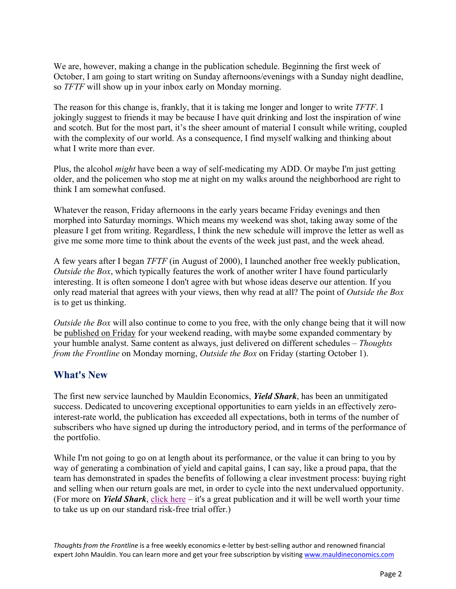We are, however, making a change in the publication schedule. Beginning the first week of October, I am going to start writing on Sunday afternoons/evenings with a Sunday night deadline, so *TFTF* will show up in your inbox early on Monday morning.

The reason for this change is, frankly, that it is taking me longer and longer to write *TFTF*. I jokingly suggest to friends it may be because I have quit drinking and lost the inspiration of wine and scotch. But for the most part, it's the sheer amount of material I consult while writing, coupled with the complexity of our world. As a consequence, I find myself walking and thinking about what I write more than ever.

Plus, the alcohol *might* have been a way of self-medicating my ADD. Or maybe I'm just getting older, and the policemen who stop me at night on my walks around the neighborhood are right to think I am somewhat confused.

Whatever the reason, Friday afternoons in the early years became Friday evenings and then morphed into Saturday mornings. Which means my weekend was shot, taking away some of the pleasure I get from writing. Regardless, I think the new schedule will improve the letter as well as give me some more time to think about the events of the week just past, and the week ahead.

A few years after I began *TFTF* (in August of 2000), I launched another free weekly publication, *Outside the Box*, which typically features the work of another writer I have found particularly interesting. It is often someone I don't agree with but whose ideas deserve our attention. If you only read material that agrees with your views, then why read at all? The point of *Outside the Box* is to get us thinking.

*Outside the Box* will also continue to come to you free, with the only change being that it will now be published on Friday for your weekend reading, with maybe some expanded commentary by your humble analyst. Same content as always, just delivered on different schedules – *Thoughts from the Frontline* on Monday morning, *Outside the Box* on Friday (starting October 1).

## **What's New**

The first new service launched by Mauldin Economics, *Yield Shark*, has been an unmitigated success. Dedicated to uncovering exceptional opportunities to earn yields in an effectively zerointerest-rate world, the publication has exceeded all expectations, both in terms of the number of subscribers who have signed up during the introductory period, and in terms of the performance of the portfolio.

While I'm not going to go on at length about its performance, or the value it can bring to you by way of generating a combination of yield and capital gains, I can say, like a proud papa, that the team has demonstrated in spades the benefits of following a clear investment process: buying right and selling when our return goals are met, in order to cycle into the next undervalued opportunity. (For more on *Yield Shark*, click here – it's a great publication and it will be well worth your time to take us up on our standard risk-free trial offer.)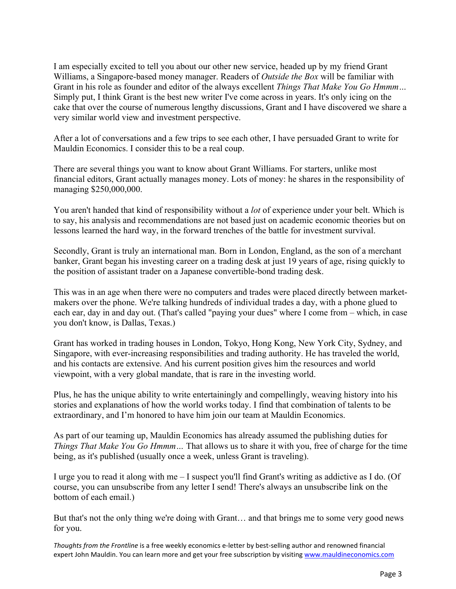I am especially excited to tell you about our other new service, headed up by my friend Grant Williams, a Singapore-based money manager. Readers of *Outside the Box* will be familiar with Grant in his role as founder and editor of the always excellent *Things That Make You Go Hmmm…* Simply put, I think Grant is the best new writer I've come across in years. It's only icing on the cake that over the course of numerous lengthy discussions, Grant and I have discovered we share a very similar world view and investment perspective.

After a lot of conversations and a few trips to see each other, I have persuaded Grant to write for Mauldin Economics. I consider this to be a real coup.

There are several things you want to know about Grant Williams. For starters, unlike most financial editors, Grant actually manages money. Lots of money: he shares in the responsibility of managing \$250,000,000.

You aren't handed that kind of responsibility without a *lot* of experience under your belt. Which is to say, his analysis and recommendations are not based just on academic economic theories but on lessons learned the hard way, in the forward trenches of the battle for investment survival.

Secondly, Grant is truly an international man. Born in London, England, as the son of a merchant banker, Grant began his investing career on a trading desk at just 19 years of age, rising quickly to the position of assistant trader on a Japanese convertible-bond trading desk.

This was in an age when there were no computers and trades were placed directly between marketmakers over the phone. We're talking hundreds of individual trades a day, with a phone glued to each ear, day in and day out. (That's called "paying your dues" where I come from – which, in case you don't know, is Dallas, Texas.)

Grant has worked in trading houses in London, Tokyo, Hong Kong, New York City, Sydney, and Singapore, with ever-increasing responsibilities and trading authority. He has traveled the world, and his contacts are extensive. And his current position gives him the resources and world viewpoint, with a very global mandate, that is rare in the investing world.

Plus, he has the unique ability to write entertainingly and compellingly, weaving history into his stories and explanations of how the world works today. I find that combination of talents to be extraordinary, and I'm honored to have him join our team at Mauldin Economics.

As part of our teaming up, Mauldin Economics has already assumed the publishing duties for *Things That Make You Go Hmmm…* That allows us to share it with you, free of charge for the time being, as it's published (usually once a week, unless Grant is traveling).

I urge you to read it along with me – I suspect you'll find Grant's writing as addictive as I do. (Of course, you can unsubscribe from any letter I send! There's always an unsubscribe link on the bottom of each email.)

But that's not the only thing we're doing with Grant… and that brings me to some very good news for you.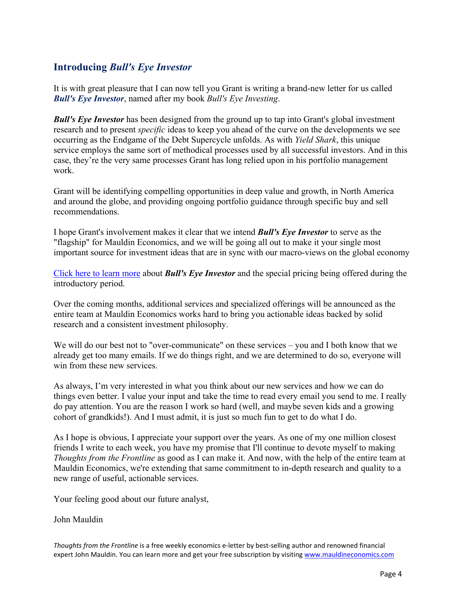## **Introducing** *Bull's Eye Investor*

It is with great pleasure that I can now tell you Grant is writing a brand-new letter for us called *Bull's Eye Investor*, named after my book *Bull's Eye Investing*.

*Bull's Eye Investor* has been designed from the ground up to tap into Grant's global investment research and to present *specific* ideas to keep you ahead of the curve on the developments we see occurring as the Endgame of the Debt Supercycle unfolds. As with *Yield Shark*, this unique service employs the same sort of methodical processes used by all successful investors. And in this case, they're the very same processes Grant has long relied upon in his portfolio management work.

Grant will be identifying compelling opportunities in deep value and growth, in North America and around the globe, and providing ongoing portfolio guidance through specific buy and sell recommendations.

I hope Grant's involvement makes it clear that we intend *Bull's Eye Investor* to serve as the "flagship" for Mauldin Economics, and we will be going all out to make it your single most important source for investment ideas that are in sync with our macro-views on the global economy.

Click here to learn more about *Bull's Eye Investor* and the special pricing being offered during the introductory period.

Over the coming months, additional services and specialized offerings will be announced as the entire team at Mauldin Economics works hard to bring you actionable ideas backed by solid research and a consistent investment philosophy.

We will do our best not to "over-communicate" on these services – you and I both know that we already get too many emails. If we do things right, and we are determined to do so, everyone will win from these new services.

As always, I'm very interested in what you think about our new services and how we can do things even better. I value your input and take the time to read every email you send to me. I really do pay attention. You are the reason I work so hard (well, and maybe seven kids and a growing cohort of grandkids!). And I must admit, it is just so much fun to get to do what I do.

As I hope is obvious, I appreciate your support over the years. As one of my one million closest friends I write to each week, you have my promise that I'll continue to devote myself to making *Thoughts from the Frontline* as good as I can make it. And now, with the help of the entire team at Mauldin Economics, we're extending that same commitment to in-depth research and quality to a new range of useful, actionable services.

Your feeling good about our future analyst,

#### John Mauldin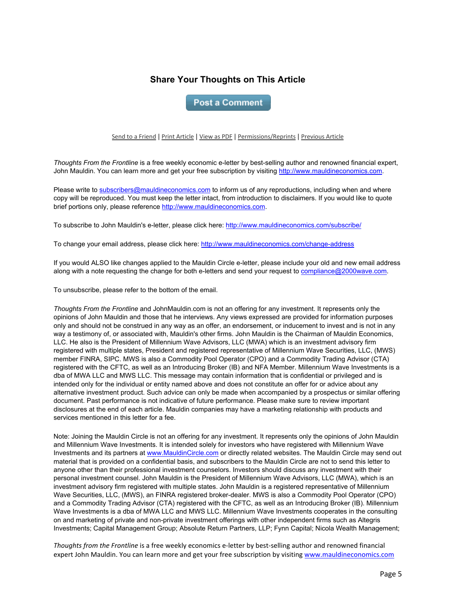### **Share Your Thoughts on This Article**

**Post a Comment** 

#### Send to a Friend | Print Article | View as PDF | Permissions/Reprints | Previous Article

*Thoughts From the Frontline* is a free weekly economic e-letter by best-selling author and renowned financial expert, John Mauldin. You can learn more and get your free subscription by visiting http://www.mauldineconomics.com.

Please write to subscribers@mauldineconomics.com to inform us of any reproductions, including when and where copy will be reproduced. You must keep the letter intact, from introduction to disclaimers. If you would like to quote brief portions only, please reference http://www.mauldineconomics.com.

To subscribe to John Mauldin's e-letter, please click here: http://www.mauldineconomics.com/subscribe/

To change your email address, please click here: http://www.mauldineconomics.com/change-address

If you would ALSO like changes applied to the Mauldin Circle e-letter, please include your old and new email address along with a note requesting the change for both e-letters and send your request to compliance@2000wave.com.

To unsubscribe, please refer to the bottom of the email.

*Thoughts From the Frontline* and JohnMauldin.com is not an offering for any investment. It represents only the opinions of John Mauldin and those that he interviews. Any views expressed are provided for information purposes only and should not be construed in any way as an offer, an endorsement, or inducement to invest and is not in any way a testimony of, or associated with, Mauldin's other firms. John Mauldin is the Chairman of Mauldin Economics, LLC. He also is the President of Millennium Wave Advisors, LLC (MWA) which is an investment advisory firm registered with multiple states, President and registered representative of Millennium Wave Securities, LLC, (MWS) member FINRA, SIPC. MWS is also a Commodity Pool Operator (CPO) and a Commodity Trading Advisor (CTA) registered with the CFTC, as well as an Introducing Broker (IB) and NFA Member. Millennium Wave Investments is a dba of MWA LLC and MWS LLC. This message may contain information that is confidential or privileged and is intended only for the individual or entity named above and does not constitute an offer for or advice about any alternative investment product. Such advice can only be made when accompanied by a prospectus or similar offering document. Past performance is not indicative of future performance. Please make sure to review important disclosures at the end of each article. Mauldin companies may have a marketing relationship with products and services mentioned in this letter for a fee.

Note: Joining the Mauldin Circle is not an offering for any investment. It represents only the opinions of John Mauldin and Millennium Wave Investments. It is intended solely for investors who have registered with Millennium Wave Investments and its partners at www.MauldinCircle.com or directly related websites. The Mauldin Circle may send out material that is provided on a confidential basis, and subscribers to the Mauldin Circle are not to send this letter to anyone other than their professional investment counselors. Investors should discuss any investment with their personal investment counsel. John Mauldin is the President of Millennium Wave Advisors, LLC (MWA), which is an investment advisory firm registered with multiple states. John Mauldin is a registered representative of Millennium Wave Securities, LLC, (MWS), an FINRA registered broker-dealer. MWS is also a Commodity Pool Operator (CPO) and a Commodity Trading Advisor (CTA) registered with the CFTC, as well as an Introducing Broker (IB). Millennium Wave Investments is a dba of MWA LLC and MWS LLC. Millennium Wave Investments cooperates in the consulting on and marketing of private and non-private investment offerings with other independent firms such as Altegris Investments; Capital Management Group; Absolute Return Partners, LLP; Fynn Capital; Nicola Wealth Management;